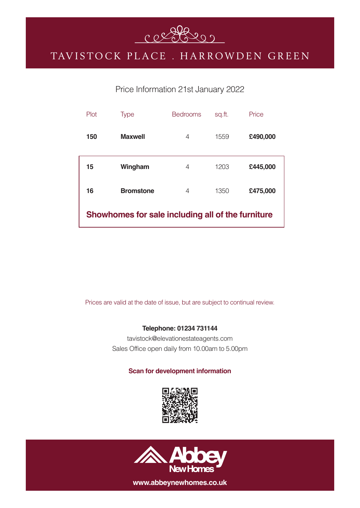

## TAVISTOCK PLACE. HARROWDEN GREEN

### Price Information 21st January 2022

| Plot                                              | <b>Type</b>      | <b>Bedrooms</b> | sq.ft. | Price    |
|---------------------------------------------------|------------------|-----------------|--------|----------|
| 150                                               | <b>Maxwell</b>   | 4               | 1559   | £490,000 |
| 15                                                | Wingham          | 4               | 1203   | £445,000 |
| 16                                                | <b>Bromstone</b> | 4               | 1350   | £475,000 |
| Showhomes for sale including all of the furniture |                  |                 |        |          |

Prices are valid at the date of issue, but are subject to continual review.

#### **Telephone: 01234 731144**

tavistock@elevationestateagents.com Sales Office open daily from 10.00am to 5.00pm

#### **Scan for development information**





**www.abbeynewhomes.co.uk**